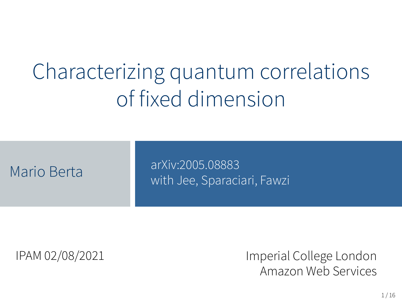# Characterizing quantum correlations of fixed dimension

#### arXiv:2005.08883 Mario Berta **Mario Berta Mario Berta Mario Berta Alexandri** Muslim Mario Berta Mario Muslim Mario Berta Mario M<br>Mario Berta Mario Muslim Mario Muslim Mario Mario Mario Muslim Mario Mario Mario Mario Mario Mario Mario Mario

IPAM 02/08/2021 Imperial College London Amazon Web Services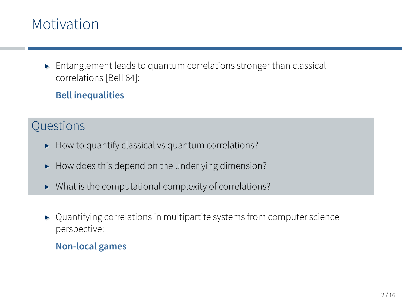## Motivation

▸ Entanglement leads to quantum correlations stronger than classical correlations [Bell 64]:

#### **Bell inequalities**

#### **Questions**

- ▸ How to quantify classical vs quantum correlations?
- ▸ How does this depend on the underlying dimension?
- ▸ What is the computational complexity of correlations?
- ▸ Quantifying correlations in multipartite systems from computer science perspective:

#### **Non-local games**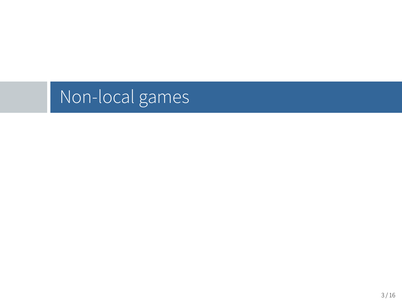Non-local games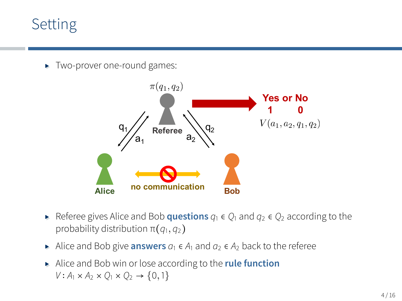## Setting

▸ Two-prover one-round games:



- ▸ Referee gives Alice and Bob **questions** *<sup>q</sup>*<sup>1</sup> <sup>∈</sup> *<sup>Q</sup>*<sup>1</sup> and *<sup>q</sup>*<sup>2</sup> <sup>∈</sup> *<sup>Q</sup>*<sup>2</sup> according to the probability distribution π(*q*1*, q*<sup>2</sup>)
- ▸ Alice and Bob give **answers** *<sup>a</sup>*<sup>1</sup> <sup>∈</sup> *<sup>A</sup>*<sup>1</sup> and *<sup>a</sup>*<sup>2</sup> <sup>∈</sup> *<sup>A</sup>*<sup>2</sup> back to the referee
- ▸ Alice and Bob win or lose according to the **rule function**  $V: A_1 \times A_2 \times O_1 \times O_2 \rightarrow \{0, 1\}$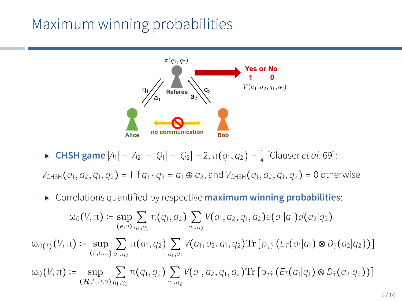## Maximum winning probabilities



▸ **CHSH game** <sup>∣</sup>*A*<sup>1</sup><sup>∣</sup> <sup>=</sup> <sup>∣</sup>*A*<sup>2</sup><sup>∣</sup> <sup>=</sup> <sup>∣</sup>*Q*<sup>1</sup><sup>∣</sup> <sup>=</sup> <sup>∣</sup>*Q*<sup>2</sup><sup>∣</sup> <sup>=</sup> <sup>2</sup>, <sup>π</sup>(*q*1*, <sup>q</sup>*<sup>2</sup>) <sup>=</sup> 1 4 [Clauser *et al.* 69]:

 $V_{CHSH}(a_1, a_2, q_1, q_2) = 1$  if  $q_1 \cdot q_2 = a_1 \oplus a_2$ , and  $V_{CHSH}(a_1, a_2, q_1, q_2) = 0$  otherwise

▸ Correlations quantified by respective **maximum winning probabilities**:

$$
\omega_C(V,\pi) := \sup_{(e,d)} \sum_{q_1,q_2} \pi(q_1,q_2) \sum_{a_1,a_2} V(a_1,a_2,q_1,q_2) e(a_1|q_1) d(a_2|q_2)
$$
  

$$
\omega_{Q(T)}(V,\pi) := \sup_{(E,D,\rho)} \sum_{q_1,q_2} \pi(q_1,q_2) \sum_{a_1,a_2} V(a_1,a_2,q_1,q_2) \text{Tr} \left[ \rho_{\hat{T}\hat{T}} \left( E_T(a_1|q_1) \otimes D_{\hat{T}}(a_2|q_2) \right) \right]
$$
  

$$
\omega_Q(V,\pi) := \sup_{(\mathcal{H},E,D,\rho)} \sum_{q_1,q_2} \pi(q_1,q_2) \sum_{a_1,a_2} V(a_1,a_2,q_1,q_2) \text{Tr} \left[ \rho_{\hat{T}\hat{T}} \left( E_T(a_1|q_1) \otimes D_{\hat{T}}(a_2|q_2) \right) \right]
$$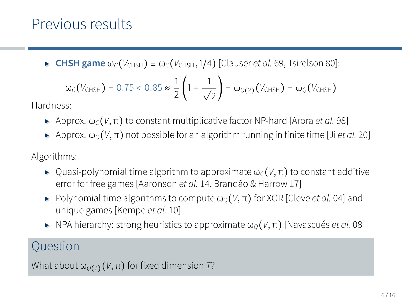## Previous results

 $\triangleright$  **CHSH game** ω $\circ$ ( $V$ CHSH) ≡ ω $\circ$ ( $V$ CHSH, 1/4) [Clauser *et al.* 69, Tsirelson 80]:

$$
\omega_{\text{C}}(V_{\text{CHSH}}) = 0.75 < 0.85 \approx \frac{1}{2} \left( 1 + \frac{1}{\sqrt{2}} \right) = \omega_{\text{Q(2)}}(V_{\text{CHSH}}) = \omega_{\text{Q}}(V_{\text{CHSH}})
$$

Hardness:

- $\blacktriangleright$  Approx. ω<sub>*C*</sub>(*V*, π) to constant multiplicative factor NP-hard [Arora *et al.* 98]
- $\rightarrow$  Approx. ω<sub>*Q*</sub>(*V*, π) not possible for an algorithm running in finite time [Ji *et al.* 20]

Algorithms:

- $\blacktriangleright$  Quasi-polynomial time algorithm to approximate  $\omega_c(V,\pi)$  to constant additive error for free games [Aaronson *et al.* 14, Brandão & Harrow 17]
- $\triangleright$  Polynomial time algorithms to compute  $\omega_0(V,\pi)$  for XOR [Cleve *et al.* 04] and unique games [Kempe *et al.* 10]
- $▶$  NPA hierarchy: strong heuristics to approximate  $ω<sub>O</sub>(V, π)$  [Navascués *et al.* 08]

### **Ouestion**

What about  $\omega_{O(T)}(V,\pi)$  for fixed dimension *T*?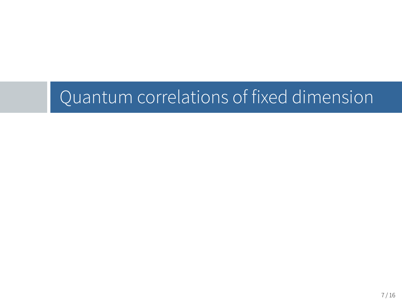Quantum correlations of fixed dimension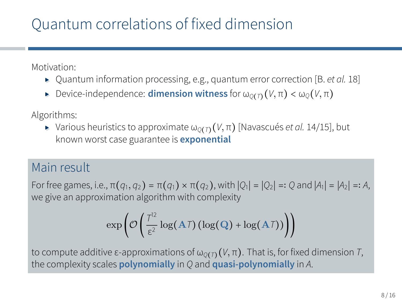## Quantum correlations of fixed dimension

Motivation:

- ▸ Quantum information processing, e.g., quantum error correction [B. *et al.* 18]
- $\blacktriangleright$  Device-independence: **dimension witness** for  $\omega_{O(T)}(V,\pi) < \omega_{O}(V,\pi)$

Algorithms:

 $▶$  Various heuristics to approximate  $ω_{O(T)}(V, π)$  [Navascués *et al.* 14/15], but known worst case guarantee is **exponential**

#### Main result

For free games, i.e., π(*q*1*, q*<sup>2</sup>) = π(*q*<sup>1</sup>) × π(*q*<sup>2</sup>), with ∣*Q*<sup>1</sup>∣ = ∣*Q*<sup>2</sup>∣ =∶ *Q* and ∣*A*<sup>1</sup>∣ = ∣*A*<sup>2</sup>∣ =∶ *A*, we give an approximation algorithm with complexity

$$
\exp\left(\mathcal{O}\left(\frac{T^{12}}{\epsilon^2}\log(A\mathcal{T})\left(\log(Q) + \log(A\mathcal{T})\right)\right)\right)
$$

to compute additive ε-approximations of  $ω_{O(T)}(V, π)$ . That is, for fixed dimension *T*, the complexity scales **polynomially** in *Q* and **quasi-polynomially** in *A*.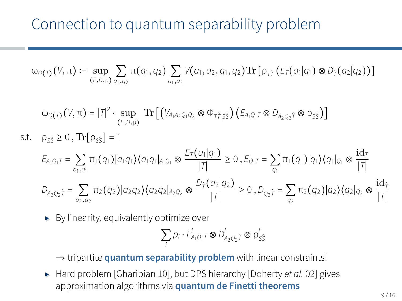$\omega_{Q(T)}(V,\pi) \coloneqq \sup_{(E,D,\rho)} \sum_{q_1,q_2} \pi(q_1,q_2) \sum_{q_1,q_2} V(q_1,q_2,q_1,q_2) \text{Tr} [ \rho_{\tau\hat{\tau}} (E_{\tau}(a_1|q_1) \otimes D_{\hat{\tau}}(a_2|q_2)) ]$ 

$$
\omega_{Q(T)}(V,\pi) = |T|^2 \cdot \sup_{(E,D,\rho)} \text{Tr} \left[ \left( V_{A_1 A_2 Q_1 Q_2} \otimes \Phi_{\tilde{T1} |S\hat{S}} \right) \left( E_{A_1 Q_1 T} \otimes D_{A_2 Q_2 \hat{T}} \otimes \rho_{S\hat{S}} \right) \right]
$$
  
s.t.  $\rho_{S\hat{S}} \ge 0$ ,  $\text{Tr} [\rho_{S\hat{S}}] = 1$ 

$$
E_{A_1Q_1T} = \sum_{a_1, q_1} \pi_1(q_1) |a_1q_1\rangle \langle a_1q_1|_{A_1Q_1} \otimes \frac{E_T(a_1|q_1)}{|T|} \ge 0, E_{Q_1T} = \sum_{q_1} \pi_1(q_1) |q_1\rangle \langle q_1|_{Q_1} \otimes \frac{\mathrm{id}_T}{|T|}
$$
  

$$
D_{A_2Q_2\hat{T}} = \sum_{a_2, q_2} \pi_2(q_2) |a_2q_2\rangle \langle a_2q_2|_{A_2Q_2} \otimes \frac{D_{\hat{T}}(a_2|q_2)}{|T|} \ge 0, D_{Q_2\hat{T}} = \sum_{q_2} \pi_2(q_2) |q_2\rangle \langle q_2|_{Q_2} \otimes \frac{\mathrm{id}_{\hat{T}}}{|T|}
$$

▸ By linearity, equivalently optimize over

$$
\sum_i p_i \cdot \vec{E}^i_{A_1Q_1T} \otimes D^i_{A_2Q_2\hat{T}} \otimes \rho^i_{S\hat{S}}
$$

⇒ tripartite **quantum separability problem** with linear constraints!

▸ Hard problem [Gharibian 10], but DPS hierarchy [Doherty *et al.* 02] gives approximation algorithms via **quantum de Finetti theorems**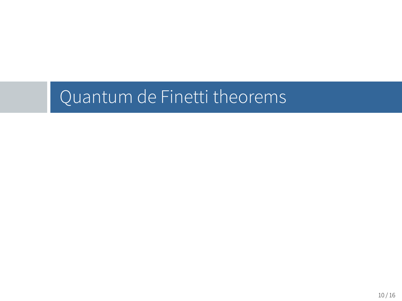Quantum de Finetti theorems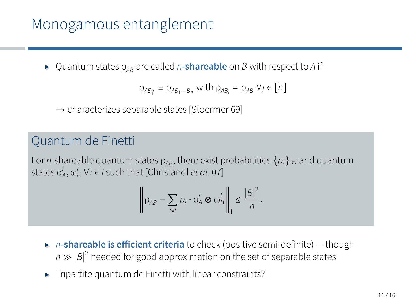## Monogamous entanglement

▸ Quantum states <sup>ρ</sup>*AB* are called *<sup>n</sup>***-shareable** on *<sup>B</sup>* with respect to *<sup>A</sup>* if

$$
\rho_{AB_1^n} \equiv \rho_{AB_1\cdots B_n} \text{ with } \rho_{AB_j} = \rho_{AB} \ \forall j \in [n]
$$

⇒ characterizes separable states [Stoermer 69]

#### Quantum de Finetti

For *n*-shareable quantum states  $\rho_{AB}$ , there exist probabilities  $\{\rho_i\}_{i\in I}$  and quantum states  $\sigma_A^i$ ,  $\omega_B^i$   $\forall i \in I$  such that [Christandl *et al.* 07]

$$
\left\|\rho_{AB}-\sum_{i\in I}p_i\cdot\sigma_A^i\otimes\omega_B^i\right\|_1\leq\frac{|B|^2}{n}.
$$

- ▸ *<sup>n</sup>***-shareable is efficient criteria** to check (positive semi-definite) though *n* ≫ |*B*|<sup>2</sup> needed for good approximation on the set of separable states
- ▸ Tripartite quantum de Finetti with linear constraints?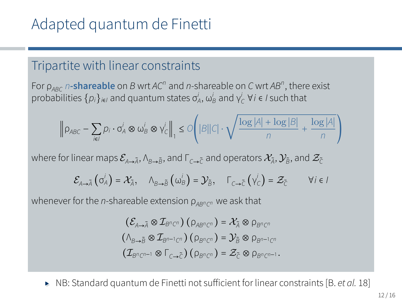## Adapted quantum de Finetti

#### Tripartite with linear constraints

For ρ*ABC n***-shareable** on *B* wrt *AC<sup>n</sup>* and *n*-shareable on *C* wrt *AB<sup>n</sup>* , there exist  $\mathsf{probabilities}\left\{\rho_i\right\}_{i\in I}$  and quantum states  $\sigma_A^i$ ,  $\omega_B^i$  and  $\gamma_C^i$  ∀*i* ∈ *I* such that

$$
\left\|\rho_{ABC} - \sum_{i\in I} p_i\cdot \sigma_A^i\otimes \omega_B^i\otimes \gamma_C^i\right\|_1 \leq \mathcal{O}\left(|B||C|\cdot \sqrt{\frac{\log |A| + \log |B|}{n} + \frac{\log |A|}{n}}\right)
$$

where for linear maps  $\mathcal{E}_{\mathbb{A}\to\widetilde{\mathbb{A}}}, \mathbb{A}_{\mathbb{B}\to\widetilde{\mathbb{B}}},$  and  $\Gamma_{\subset\to\widetilde{\mathbb{C}}}$  and operators  $\mathcal{X}_{\widetilde{\mathbb{A}}}, \mathcal{Y}_{\widetilde{\mathbb{B}}},$  and  $\mathcal{Z}_{\widetilde{\mathbb{C}}}$ 

$$
\mathcal{E}_{A\to\tilde{A}}\left(\sigma_A^j\right)=\mathcal{X}_{\tilde{A}},\quad \wedge_{B\to\tilde{B}}\left(\omega_B^j\right)=\mathcal{Y}_{\tilde{B}},\quad \Gamma_{C\to\tilde{C}}\left(\gamma_C^j\right)=\mathcal{Z}_{\tilde{C}}\qquad \forall i\in I
$$

whenever for the *n*-shareable extension ρ*ABn<sup>C</sup> <sup>n</sup>* we ask that

$$
(\mathcal{E}_{A\rightarrow \tilde{A}}\otimes \mathcal{I}_{B^nC^n}) (\rho_{AB^nC^n}) = \mathcal{X}_{\tilde{A}}\otimes \rho_{B^nC^n}
$$

$$
(\Lambda_{B\rightarrow \tilde{B}}\otimes \mathcal{I}_{B^{n-1}C^n}) (\rho_{B^nC^n}) = \mathcal{Y}_{\tilde{B}}\otimes \rho_{B^{n-1}C^n}
$$

$$
(\mathcal{I}_{B^nC^{n-1}}\otimes \Gamma_{C\rightarrow \tilde{C}})(\rho_{B^nC^n}) = \mathcal{Z}_{\tilde{C}}\otimes \rho_{B^nC^{n-1}}.
$$

▸ NB: Standard quantum de Finetti not sufficient for linear constraints [B. *et al.* 18]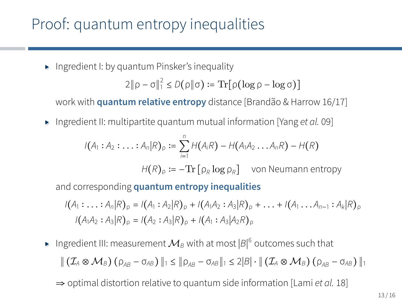## Proof: quantum entropy inequalities

▸ Ingredient I: by quantum Pinsker's inequality

$$
2\|\rho - \sigma\|_{1}^{2} \le D(\rho\|\sigma) := \mathrm{Tr}[\rho(\log \rho - \log \sigma)]
$$

work with **quantum relative entropy** distance [Brandão & Harrow 16/17]

▸ Ingredient II: multipartite quantum mutual information [Yang *et al.* 09]

$$
I(A_1 : A_2 : \ldots : A_n | R)_{\rho} := \sum_{i=1}^n H(A_i R) - H(A_1 A_2 \ldots A_n R) - H(R)
$$
  

$$
H(R)_{\rho} := -\text{Tr} [\rho_R \log \rho_R] \quad \text{von Neumann entropy}
$$

and corresponding **quantum entropy inequalities**

 $I(A_1: \ldots: A_n|R)_0 = I(A_1: A_2|R)_0 + I(A_1A_2: A_3|R)_0 + \ldots + I(A_1 \ldots A_{n-1}: A_k|R)_0$  $I(A_1A_2: A_3|R)_0 = I(A_2: A_3|R)_0 + I(A_1: A_3|A_2R)_0$ 

- ► Ingredient III: measurement  $\mathcal{M}_B$  with at most  $\left|\mathcal{B}\right|^6$  outcomes such that  $\|(I_A \otimes \mathcal{M}_B)(\rho_{AB} - \sigma_{AB})\|_1 \leq \|\rho_{AB} - \sigma_{AB}\|_1 \leq 2|B| \cdot \| (I_A \otimes \mathcal{M}_B)(\rho_{AB} - \sigma_{AB})\|_1$ 
	- ⇒ optimal distortion relative to quantum side information [Lami *et al.* 18]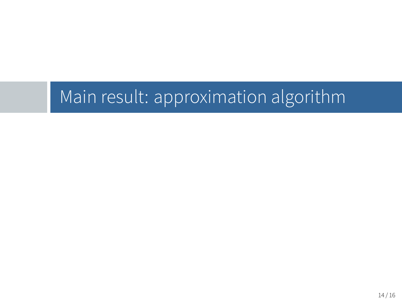Main result: approximation algorithm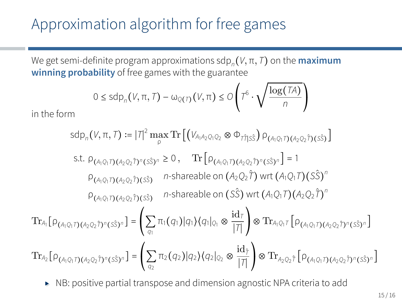## Approximation algorithm for free games

We get semi-definite program approximations sdp*<sup>n</sup>* (*V,* π*, T*) on the **maximum winning probability** of free games with the guarantee

$$
0 \leq \textnormal{sdp}_n \big( V , \pi , \mathcal{T} \big) - \omega_{\mathbb{Q} \left( \mathcal{T} \right)} \big( V , \pi \big) \leq O \left( T^6 \cdot \sqrt{\frac{\log ( \mathcal{T} A )}{n}} \right)
$$

in the form

$$
sdp_{n}(V, \pi, \mathcal{T}) := |\mathcal{T}|^{2} \max_{\rho} \text{Tr}\left[\left(V_{A_{1}A_{2}Q_{1}Q_{2}} \otimes \Phi_{\mathcal{T}\tilde{T}|S}\right) \rho_{(A_{1}Q_{1}\mathcal{T})(A_{2}Q_{2}\tilde{T})(S\tilde{S})}\right]
$$
  
s.t.  $\rho_{(A_{1}Q_{1}\mathcal{T})(A_{2}Q_{2}\tilde{T})^{n}(S\tilde{S})^{n}} \ge 0$ ,  $\text{Tr}\left[\rho_{(A_{1}Q_{1}\mathcal{T})(A_{2}Q_{2}\tilde{T})^{n}(S\tilde{S})^{n}}\right] = 1$   
 $\rho_{(A_{1}Q_{1}\mathcal{T})(A_{2}Q_{2}\tilde{T})(S\tilde{S})} \qquad n\text{-shareable on } (A_{2}Q_{2}\tilde{\mathcal{T}}) \text{ wrt } (A_{1}Q_{1}\mathcal{T})(S\tilde{S})^{n}$   
 $\rho_{(A_{1}Q_{1}\mathcal{T})(A_{2}Q_{2}\tilde{T})(S\tilde{S})} \qquad n\text{-shareable on } (S\tilde{S}) \text{ wrt } (A_{1}Q_{1}\mathcal{T})(A_{2}Q_{2}\tilde{T})^{n}$   
 $\text{Tr}_{A_{1}}\left[\rho_{(A_{1}Q_{1}\mathcal{T})(A_{2}Q_{2}\tilde{T})^{n}(S\tilde{S})^{n}}\right] = \left(\sum_{q_{1}} \pi_{1}(q_{1})|q_{1}\rangle\langle q_{1}|_{Q_{1}} \otimes \frac{\text{id}_{\tilde{T}}}{|\mathcal{T}|}\right) \otimes \text{Tr}_{A_{1}Q_{1}\mathcal{T}}\left[\rho_{(A_{1}Q_{1}\mathcal{T})(A_{2}Q_{2}\tilde{T})^{n}(S\tilde{S})^{n}}\right]$   
 $\text{Tr}_{A_{2}}\left[\rho_{(A_{1}Q_{1}\mathcal{T})(A_{2}Q_{2}\tilde{T})^{n}(S\tilde{S})^{n}}\right] = \left(\sum_{q_{2}} \pi_{2}(q_{2})|q_{2}\rangle\langle q_{2}|_{Q_{2}} \otimes \frac{\text{id}_{\tilde{T}}}{|\mathcal{T}|}\right) \otimes \text{Tr}_{A_{2}Q_{2}\tilde{\mathcal{T}}}\left[\rho_{(A_{1}Q_{1}\math$ 

▸ NB: positive partial transpose and dimension agnostic NPA criteria to add